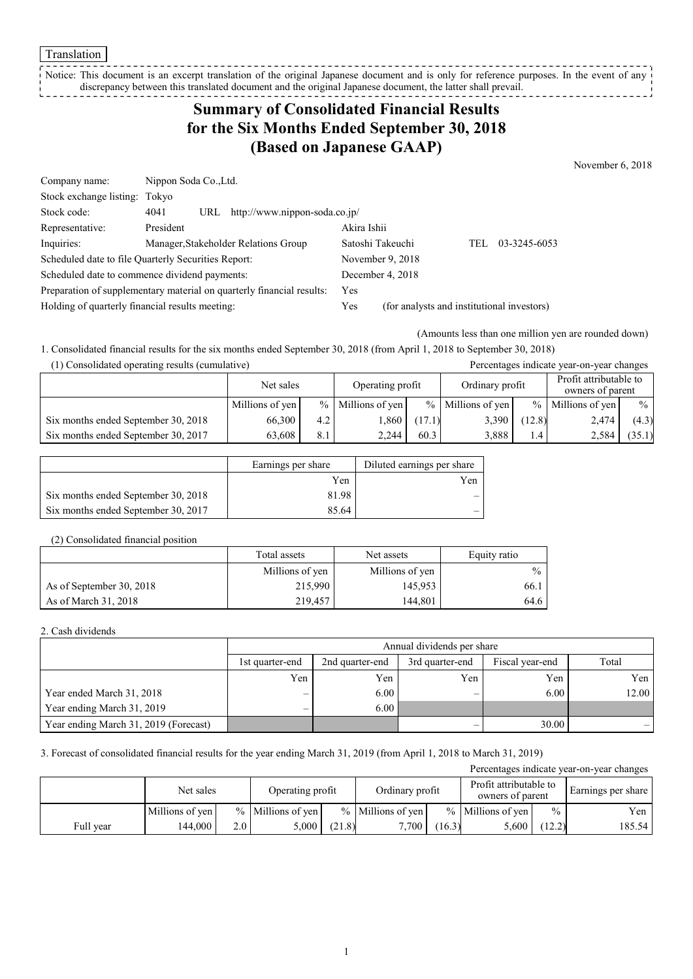Translation

Notice: This document is an excerpt translation of the original Japanese document and is only for reference purposes. In the event of any discrepancy between this translated document and the original Japanese document, the latter shall prevail. ----------------

## **Summary of Consolidated Financial Results for the Six Months Ended September 30, 2018 (Based on Japanese GAAP)**

November 6, 2018

| Company name:                                                         | Nippon Soda Co., Ltd. |     |                                      |                                            |  |      |              |
|-----------------------------------------------------------------------|-----------------------|-----|--------------------------------------|--------------------------------------------|--|------|--------------|
| Stock exchange listing: Tokyo                                         |                       |     |                                      |                                            |  |      |              |
| Stock code:                                                           | 4041                  | URL | http://www.nippon-soda.co.jp/        |                                            |  |      |              |
| Representative:                                                       | President             |     |                                      | Akira Ishii                                |  |      |              |
| Inquiries:                                                            |                       |     | Manager, Stakeholder Relations Group | Satoshi Takeuchi                           |  | TEL. | 03-3245-6053 |
| Scheduled date to file Quarterly Securities Report:                   |                       |     | November 9, 2018                     |                                            |  |      |              |
| Scheduled date to commence dividend payments:                         |                       |     | December 4, 2018                     |                                            |  |      |              |
| Preparation of supplementary material on quarterly financial results: |                       |     |                                      | Yes                                        |  |      |              |
| Holding of quarterly financial results meeting:                       |                       |     | Yes                                  | (for analysts and institutional investors) |  |      |              |

(Amounts less than one million yen are rounded down)

1. Consolidated financial results for the six months ended September 30, 2018 (from April 1, 2018 to September 30, 2018) (1) Consolidated operating results (cumulative) Percentages indicate year-on-year changes

| $(1)$ Consondated operating results (cumulative) |                 |               |                  |        |                     |        | I creentages mureate year-on-year enamges  |               |
|--------------------------------------------------|-----------------|---------------|------------------|--------|---------------------|--------|--------------------------------------------|---------------|
|                                                  | Net sales       |               | Operating profit |        | Ordinary profit     |        | Profit attributable to<br>owners of parent |               |
|                                                  | Millions of yen | $\frac{9}{6}$ | Millions of yen  |        | $%$ Millions of yen |        | $%$ Millions of yen                        | $\frac{0}{0}$ |
| Six months ended September 30, 2018              | 66,300          | 4.2           | 1,860            | (17.1) | 3,390               | (12.8) | 2,474                                      | (4.3)         |
| Six months ended September 30, 2017              | 63.608          | 8.1           | 2.244            | 60.3   | 3,888               | 1.4    | 2,584                                      | (35.1)        |

|                                     | Earnings per share | Diluted earnings per share |
|-------------------------------------|--------------------|----------------------------|
|                                     | Yen                | Yen                        |
| Six months ended September 30, 2018 | 81.98              |                            |
| Six months ended September 30, 2017 | 85.64              |                            |

#### (2) Consolidated financial position

|                          | Total assets    | Net assets      | Equity ratio  |
|--------------------------|-----------------|-----------------|---------------|
|                          | Millions of yen | Millions of yen | $\frac{0}{0}$ |
| As of September 30, 2018 | 215,990         | 145,953         | 66.1          |
| As of March 31, 2018     | 219.457         | 144.801         | 64.6          |

#### 2. Cash dividends

|                                       | Annual dividends per share |                                                                |     |       |       |  |  |  |
|---------------------------------------|----------------------------|----------------------------------------------------------------|-----|-------|-------|--|--|--|
|                                       | 1st quarter-end            | Total<br>Fiscal year-end<br>2nd quarter-end<br>3rd quarter-end |     |       |       |  |  |  |
|                                       | Yen                        | Yen                                                            | Yen | Yen   | Yen   |  |  |  |
| Year ended March 31, 2018             |                            | 6.00                                                           | -   | 6.00  | 12.00 |  |  |  |
| Year ending March 31, 2019            | -                          | 6.00                                                           |     |       |       |  |  |  |
| Year ending March 31, 2019 (Forecast) |                            |                                                                |     | 30.00 |       |  |  |  |

### 3. Forecast of consolidated financial results for the year ending March 31, 2019 (from April 1, 2018 to March 31, 2019)

| Percentages indicate year-on-year changes |                 |                  |                     |        |                     |                                                               |                     |               |                    |
|-------------------------------------------|-----------------|------------------|---------------------|--------|---------------------|---------------------------------------------------------------|---------------------|---------------|--------------------|
|                                           | Net sales       |                  | Operating profit    |        |                     | Profit attributable to<br>Ordinary profit<br>owners of parent |                     |               | Earnings per share |
|                                           | Millions of yen |                  | $%$ Millions of yen |        | $%$ Millions of yen |                                                               | $%$ Millions of yen | $\frac{0}{0}$ | Yen                |
| Full year                                 | 144.000         | 2.0 <sub>1</sub> | 5,000               | (21.8) | 7,700               | (16.3)                                                        | 5,600               | (12.2)        | 185.54             |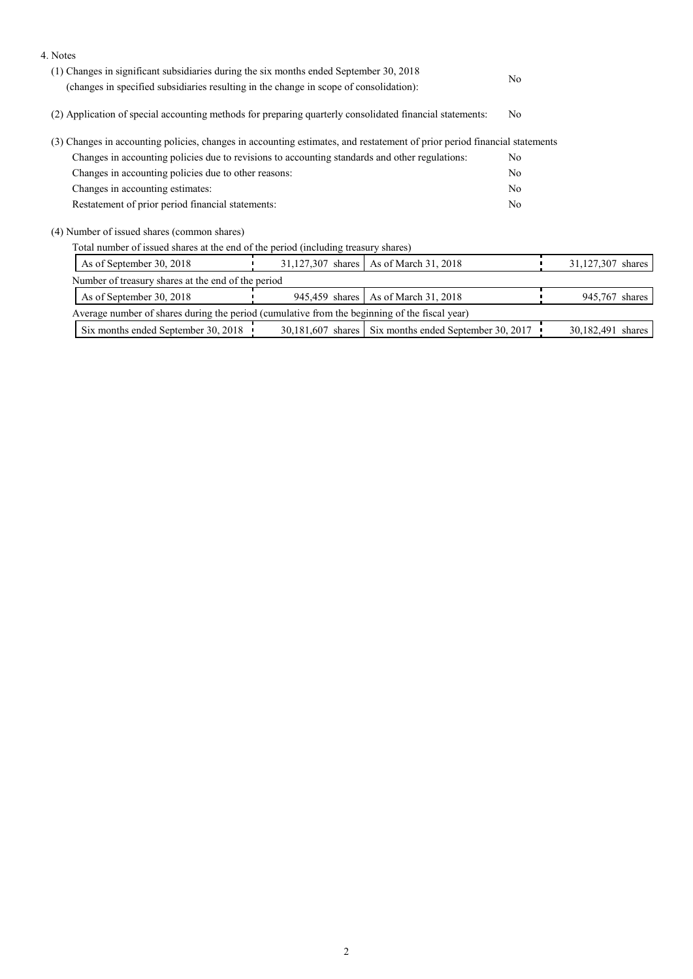| 4. Notes                                                                                                                   |                   |
|----------------------------------------------------------------------------------------------------------------------------|-------------------|
| (1) Changes in significant subsidiaries during the six months ended September 30, 2018                                     |                   |
| N <sub>0</sub><br>(changes in specified subsidiaries resulting in the change in scope of consolidation):                   |                   |
| (2) Application of special accounting methods for preparing quarterly consolidated financial statements:<br>N <sub>0</sub> |                   |
| (3) Changes in accounting policies, changes in accounting estimates, and restatement of prior period financial statements  |                   |
| Changes in accounting policies due to revisions to accounting standards and other regulations:<br>N <sub>0</sub>           |                   |
| Changes in accounting policies due to other reasons:<br>N <sub>0</sub>                                                     |                   |
| Changes in accounting estimates:<br>N <sub>0</sub>                                                                         |                   |
| Restatement of prior period financial statements:<br>N <sub>0</sub>                                                        |                   |
| (4) Number of issued shares (common shares)                                                                                |                   |
| Total number of issued shares at the end of the period (including treasury shares)                                         |                   |
| As of September 30, 2018<br>31,127,307 shares<br>As of March 31, 2018                                                      | 31,127,307 shares |
| Number of treasury shares at the end of the period                                                                         |                   |
| As of March 31, 2018<br>As of September 30, 2018<br>945,459 shares                                                         | 945,767 shares    |
| Average number of shares during the period (cumulative from the beginning of the fiscal year)                              |                   |
| Six months ended September 30, 2018<br>30,181,607 shares Six months ended September 30, 2017                               | 30,182,491 shares |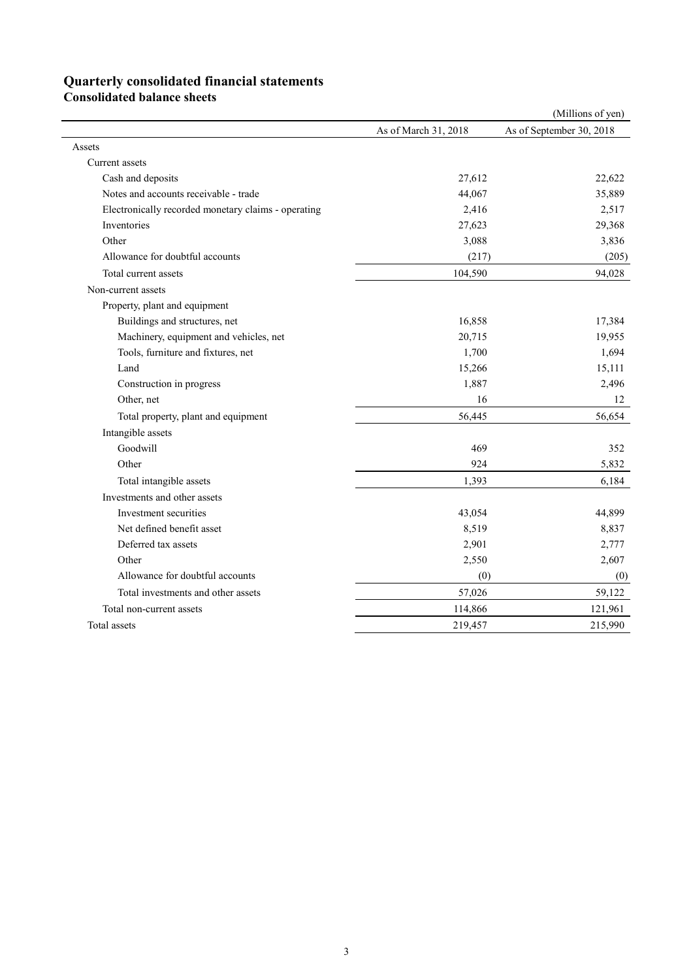# **Quarterly consolidated financial statements**

**Consolidated balance sheets** 

|                                                     |                      | (Millions of yen)        |
|-----------------------------------------------------|----------------------|--------------------------|
|                                                     | As of March 31, 2018 | As of September 30, 2018 |
| Assets                                              |                      |                          |
| Current assets                                      |                      |                          |
| Cash and deposits                                   | 27,612               | 22,622                   |
| Notes and accounts receivable - trade               | 44,067               | 35,889                   |
| Electronically recorded monetary claims - operating | 2,416                | 2,517                    |
| Inventories                                         | 27,623               | 29,368                   |
| Other                                               | 3,088                | 3,836                    |
| Allowance for doubtful accounts                     | (217)                | (205)                    |
| Total current assets                                | 104,590              | 94,028                   |
| Non-current assets                                  |                      |                          |
| Property, plant and equipment                       |                      |                          |
| Buildings and structures, net                       | 16,858               | 17,384                   |
| Machinery, equipment and vehicles, net              | 20,715               | 19,955                   |
| Tools, furniture and fixtures, net                  | 1,700                | 1,694                    |
| Land                                                | 15,266               | 15,111                   |
| Construction in progress                            | 1,887                | 2,496                    |
| Other, net                                          | 16                   | 12                       |
| Total property, plant and equipment                 | 56,445               | 56,654                   |
| Intangible assets                                   |                      |                          |
| Goodwill                                            | 469                  | 352                      |
| Other                                               | 924                  | 5,832                    |
| Total intangible assets                             | 1,393                | 6,184                    |
| Investments and other assets                        |                      |                          |
| Investment securities                               | 43,054               | 44,899                   |
| Net defined benefit asset                           | 8,519                | 8,837                    |
| Deferred tax assets                                 | 2,901                | 2,777                    |
| Other                                               | 2,550                | 2,607                    |
| Allowance for doubtful accounts                     | (0)                  | (0)                      |
| Total investments and other assets                  | 57,026               | 59,122                   |
| Total non-current assets                            | 114,866              | 121,961                  |
| Total assets                                        | 219,457              | 215,990                  |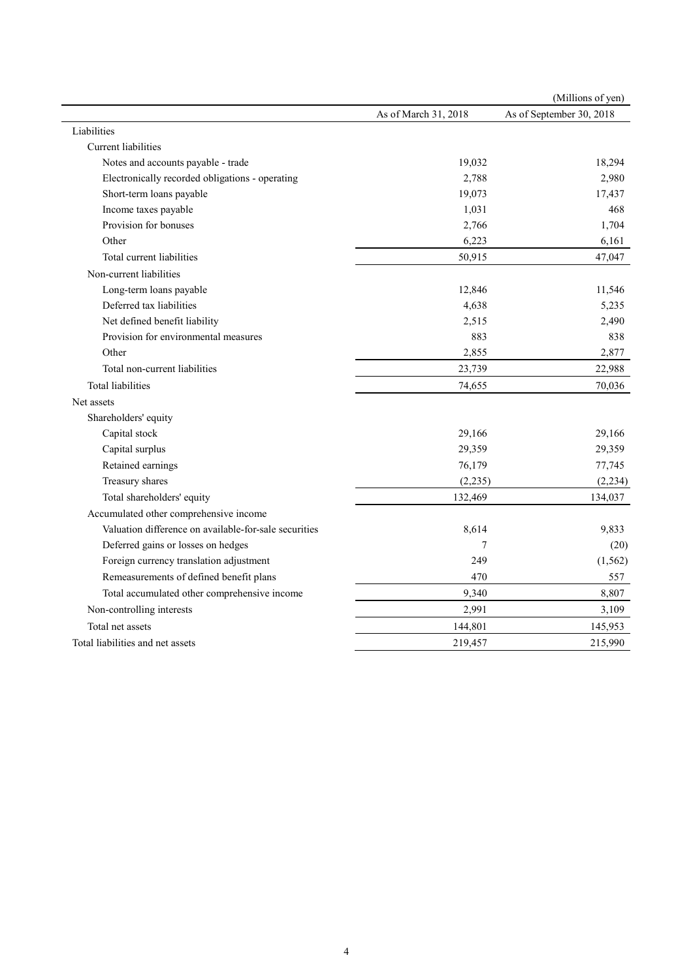|                                                       |                      | (Millions of yen)        |
|-------------------------------------------------------|----------------------|--------------------------|
|                                                       | As of March 31, 2018 | As of September 30, 2018 |
| Liabilities                                           |                      |                          |
| Current liabilities                                   |                      |                          |
| Notes and accounts payable - trade                    | 19,032               | 18,294                   |
| Electronically recorded obligations - operating       | 2,788                | 2,980                    |
| Short-term loans payable                              | 19,073               | 17,437                   |
| Income taxes payable                                  | 1,031                | 468                      |
| Provision for bonuses                                 | 2,766                | 1,704                    |
| Other                                                 | 6,223                | 6,161                    |
| Total current liabilities                             | 50,915               | 47,047                   |
| Non-current liabilities                               |                      |                          |
| Long-term loans payable                               | 12,846               | 11,546                   |
| Deferred tax liabilities                              | 4,638                | 5,235                    |
| Net defined benefit liability                         | 2,515                | 2,490                    |
| Provision for environmental measures                  | 883                  | 838                      |
| Other                                                 | 2,855                | 2,877                    |
| Total non-current liabilities                         | 23,739               | 22,988                   |
| <b>Total liabilities</b>                              | 74,655               | 70,036                   |
| Net assets                                            |                      |                          |
| Shareholders' equity                                  |                      |                          |
| Capital stock                                         | 29,166               | 29,166                   |
| Capital surplus                                       | 29,359               | 29,359                   |
| Retained earnings                                     | 76,179               | 77,745                   |
| Treasury shares                                       | (2, 235)             | (2, 234)                 |
| Total shareholders' equity                            | 132,469              | 134,037                  |
| Accumulated other comprehensive income                |                      |                          |
| Valuation difference on available-for-sale securities | 8,614                | 9,833                    |
| Deferred gains or losses on hedges                    | 7                    | (20)                     |
| Foreign currency translation adjustment               | 249                  | (1, 562)                 |
| Remeasurements of defined benefit plans               | 470                  | 557                      |
| Total accumulated other comprehensive income          | 9,340                | 8,807                    |
| Non-controlling interests                             | 2,991                | 3,109                    |
| Total net assets                                      | 144,801              | 145,953                  |
| Total liabilities and net assets                      | 219,457              | 215,990                  |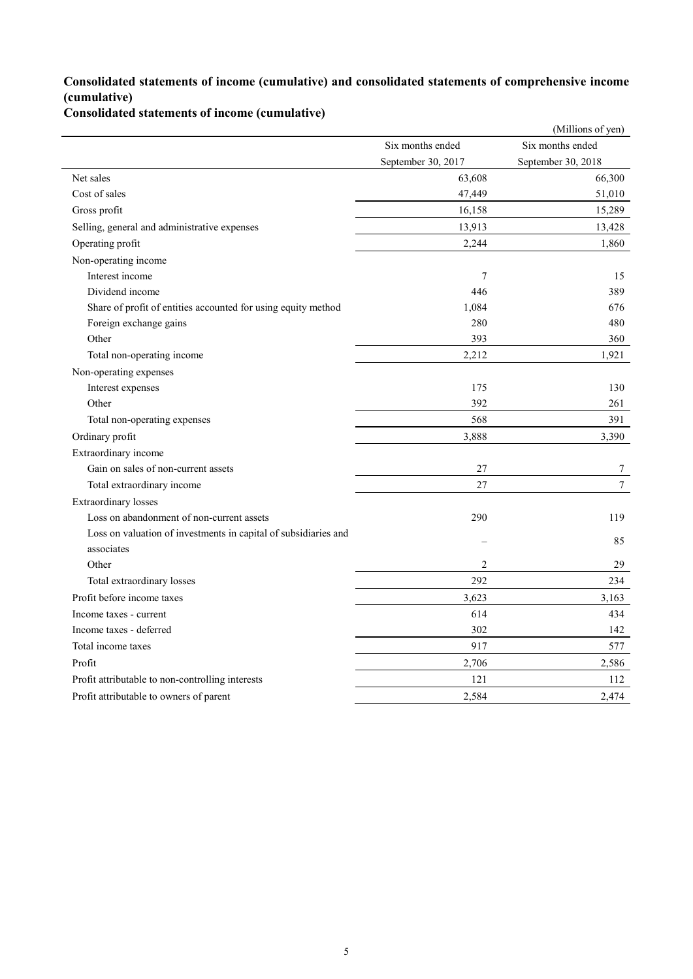### **Consolidated statements of income (cumulative) and consolidated statements of comprehensive income (cumulative)**

**Consolidated statements of income (cumulative)**

|                                                                 |                    | (Millions of yen)  |
|-----------------------------------------------------------------|--------------------|--------------------|
|                                                                 | Six months ended   | Six months ended   |
|                                                                 | September 30, 2017 | September 30, 2018 |
| Net sales                                                       | 63,608             | 66,300             |
| Cost of sales                                                   | 47,449             | 51,010             |
| Gross profit                                                    | 16,158             | 15,289             |
| Selling, general and administrative expenses                    | 13,913             | 13,428             |
| Operating profit                                                | 2,244              | 1,860              |
| Non-operating income                                            |                    |                    |
| Interest income                                                 | $\overline{7}$     | 15                 |
| Dividend income                                                 | 446                | 389                |
| Share of profit of entities accounted for using equity method   | 1,084              | 676                |
| Foreign exchange gains                                          | 280                | 480                |
| Other                                                           | 393                | 360                |
| Total non-operating income                                      | 2,212              | 1,921              |
| Non-operating expenses                                          |                    |                    |
| Interest expenses                                               | 175                | 130                |
| Other                                                           | 392                | 261                |
| Total non-operating expenses                                    | 568                | 391                |
| Ordinary profit                                                 | 3,888              | 3,390              |
| Extraordinary income                                            |                    |                    |
| Gain on sales of non-current assets                             | 27                 | 7                  |
| Total extraordinary income                                      | 27                 | $\tau$             |
| Extraordinary losses                                            |                    |                    |
| Loss on abandonment of non-current assets                       | 290                | 119                |
| Loss on valuation of investments in capital of subsidiaries and |                    | 85                 |
| associates                                                      |                    |                    |
| Other                                                           | $\overline{2}$     | 29                 |
| Total extraordinary losses                                      | 292                | 234                |
| Profit before income taxes                                      | 3,623              | 3,163              |
| Income taxes - current                                          | 614                | 434                |
| Income taxes - deferred                                         | 302                | 142                |
| Total income taxes                                              | 917                | 577                |
| Profit                                                          | 2,706              | 2,586              |
| Profit attributable to non-controlling interests                | 121                | 112                |
| Profit attributable to owners of parent                         | 2,584              | 2,474              |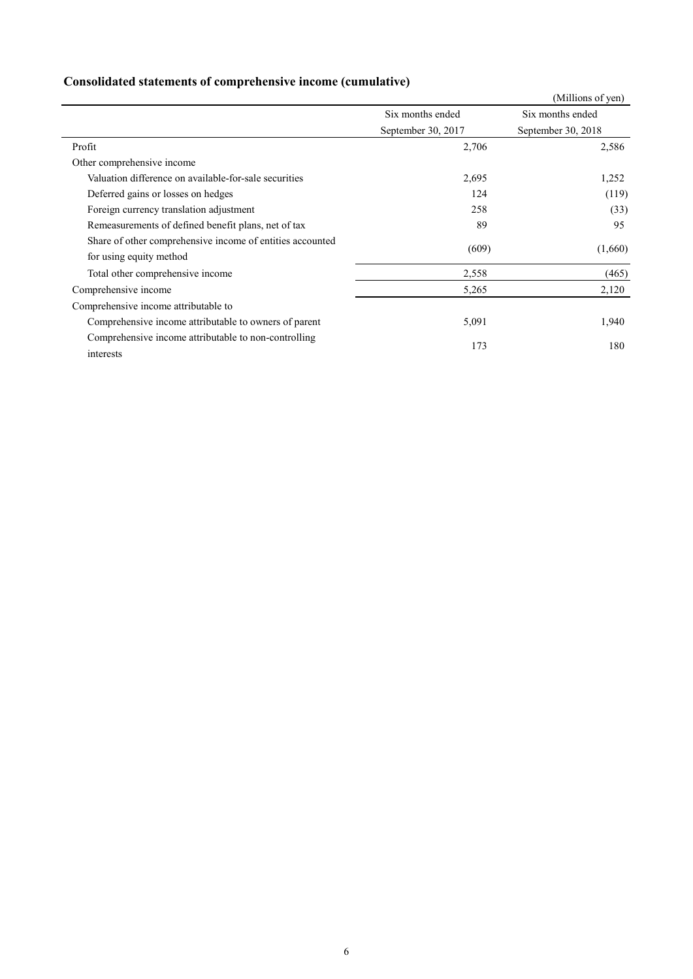| Consolidated statements of comprehensive income (cumulative) |  |  |
|--------------------------------------------------------------|--|--|
|                                                              |  |  |

|                                                                   |                    | (Millions of yen)  |
|-------------------------------------------------------------------|--------------------|--------------------|
|                                                                   | Six months ended   | Six months ended   |
|                                                                   | September 30, 2017 | September 30, 2018 |
| Profit                                                            | 2,706              | 2,586              |
| Other comprehensive income                                        |                    |                    |
| Valuation difference on available-for-sale securities             | 2,695              | 1,252              |
| Deferred gains or losses on hedges                                | 124                | (119)              |
| Foreign currency translation adjustment                           | 258                | (33)               |
| Remeasurements of defined benefit plans, net of tax               | 89                 | 95                 |
| Share of other comprehensive income of entities accounted         | (609)              |                    |
| for using equity method                                           |                    | (1,660)            |
| Total other comprehensive income                                  | 2,558              | (465)              |
| Comprehensive income                                              | 5,265              | 2,120              |
| Comprehensive income attributable to                              |                    |                    |
| Comprehensive income attributable to owners of parent             | 5,091              | 1,940              |
| Comprehensive income attributable to non-controlling<br>interests | 173                | 180                |